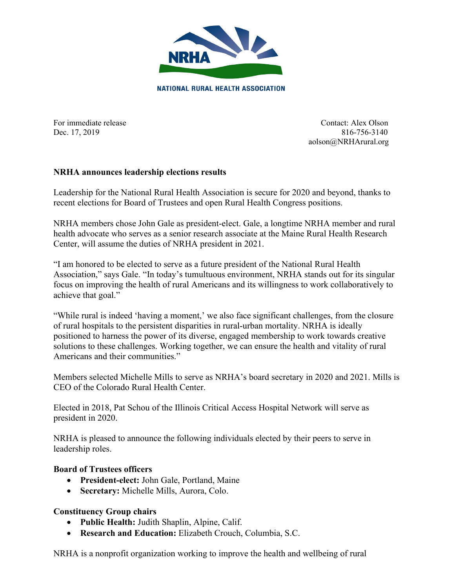

For immediate release Contact: Alex Olson Dec. 17, 2019 816-756-3140 aolson@NRHArural.org

## **NRHA announces leadership elections results**

Leadership for the National Rural Health Association is secure for 2020 and beyond, thanks to recent elections for Board of Trustees and open Rural Health Congress positions.

NRHA members chose John Gale as president-elect. Gale, a longtime NRHA member and rural health advocate who serves as a senior research associate at the Maine Rural Health Research Center, will assume the duties of NRHA president in 2021.

"I am honored to be elected to serve as a future president of the National Rural Health Association," says Gale. "In today's tumultuous environment, NRHA stands out for its singular focus on improving the health of rural Americans and its willingness to work collaboratively to achieve that goal."

"While rural is indeed 'having a moment,' we also face significant challenges, from the closure of rural hospitals to the persistent disparities in rural-urban mortality. NRHA is ideally positioned to harness the power of its diverse, engaged membership to work towards creative solutions to these challenges. Working together, we can ensure the health and vitality of rural Americans and their communities."

Members selected Michelle Mills to serve as NRHA's board secretary in 2020 and 2021. Mills is CEO of the Colorado Rural Health Center.

Elected in 2018, Pat Schou of the Illinois Critical Access Hospital Network will serve as president in 2020.

NRHA is pleased to announce the following individuals elected by their peers to serve in leadership roles.

## **Board of Trustees officers**

- **President-elect:** John Gale, Portland, Maine
- **Secretary:** Michelle Mills, Aurora, Colo.

## **Constituency Group chairs**

- **Public Health:** Judith Shaplin, Alpine, Calif.
- **Research and Education:** Elizabeth Crouch, Columbia, S.C.

NRHA is a nonprofit organization working to improve the health and wellbeing of rural